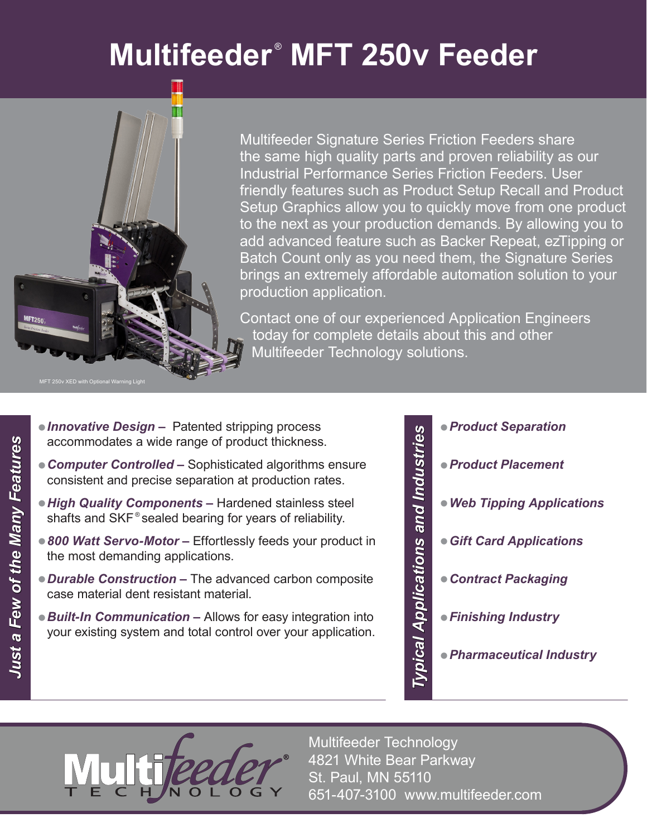# **Multifeeder** ® **MFT 250v Feeder**



Multifeeder Signature Series Friction Feeders share the same high quality parts and proven reliability as our Industrial Performance Series Friction Feeders. User friendly features such as Product Setup Recall and Product Setup Graphics allow you to quickly move from one product to the next as your production demands. By allowing you to add advanced feature such as Backer Repeat, ezTipping or Batch Count only as you need them, the Signature Series brings an extremely affordable automation solution to your production application.

Contact one of our experienced Application Engineers today for complete details about this and other Multifeeder Technology solutions.

- **Innovative Design** Patented stripping process accommodates a wide range of product thickness.
- **Computer Controlled** Sophisticated algorithms ensure consistent and precise separation at production rates.
- **High Quality Components** Hardened stainless steel shafts and SKF<sup>®</sup> sealed bearing for years of reliability.
- 800 Watt Servo-Motor Effortlessly feeds your product in the most demanding applications.
- **Durable Construction** The advanced carbon composite case material dent resistant material.
- **Built-In Communication** Allows for easy integration into your existing system and total control over your application.

• *Product Separation* Typical Applications and Industries *Typical Applications and Industries* • *Product Placement* • *Web Tipping Applications* • *Gift Card Applications* • *Contract Packaging* • *Finishing Industry* • *Pharmaceutical Industry*

Multifeeder Technology 4821 White Bear Parkway St. Paul, MN 55110 651-407-3100 www.multifeeder.com